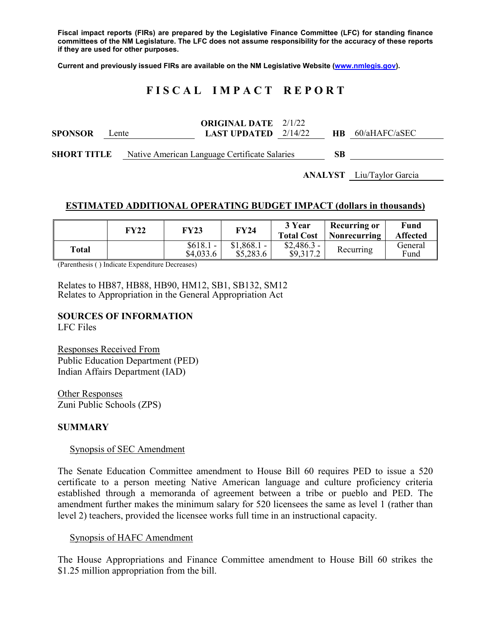**Fiscal impact reports (FIRs) are prepared by the Legislative Finance Committee (LFC) for standing finance committees of the NM Legislature. The LFC does not assume responsibility for the accuracy of these reports if they are used for other purposes.**

**Current and previously issued FIRs are available on the NM Legislative Website [\(www.nmlegis.gov\)](http://www.nmlegis.gov/).**

# **F I S C A L I M P A C T R E P O R T**

| <b>SPONSOR</b>     | Lente |  | <b>ORIGINAL DATE</b> 2/1/22<br><b>LAST UPDATED</b> $2/14/22$ | HB. | 60/aHAFC/aSEC |
|--------------------|-------|--|--------------------------------------------------------------|-----|---------------|
| <b>SHORT TITLE</b> |       |  | Native American Language Certificate Salaries                | SВ  |               |

**ANALYST** Liu/Taylor Garcia

### **ESTIMATED ADDITIONAL OPERATING BUDGET IMPACT (dollars in thousands)**

|       | FY22 | FY23                    | <b>FY24</b>               | 3 Year<br><b>Total Cost</b> | <b>Recurring or</b><br><b>Nonrecurring</b> | Fund<br><b>Affected</b> |
|-------|------|-------------------------|---------------------------|-----------------------------|--------------------------------------------|-------------------------|
| Total |      | $$618.1 -$<br>\$4,033.6 | $$1,868.1$ -<br>\$5,283.6 | $$2,486.3-$<br>\$9,317.2    | Recurring                                  | General<br>Fund         |

(Parenthesis ( ) Indicate Expenditure Decreases)

Relates to HB87, HB88, HB90, HM12, SB1, SB132, SM12 Relates to Appropriation in the General Appropriation Act

# **SOURCES OF INFORMATION**

LFC Files

Responses Received From Public Education Department (PED) Indian Affairs Department (IAD)

Other Responses Zuni Public Schools (ZPS)

### **SUMMARY**

#### Synopsis of SEC Amendment

The Senate Education Committee amendment to House Bill 60 requires PED to issue a 520 certificate to a person meeting Native American language and culture proficiency criteria established through a memoranda of agreement between a tribe or pueblo and PED. The amendment further makes the minimum salary for 520 licensees the same as level 1 (rather than level 2) teachers, provided the licensee works full time in an instructional capacity.

#### Synopsis of HAFC Amendment

The House Appropriations and Finance Committee amendment to House Bill 60 strikes the \$1.25 million appropriation from the bill.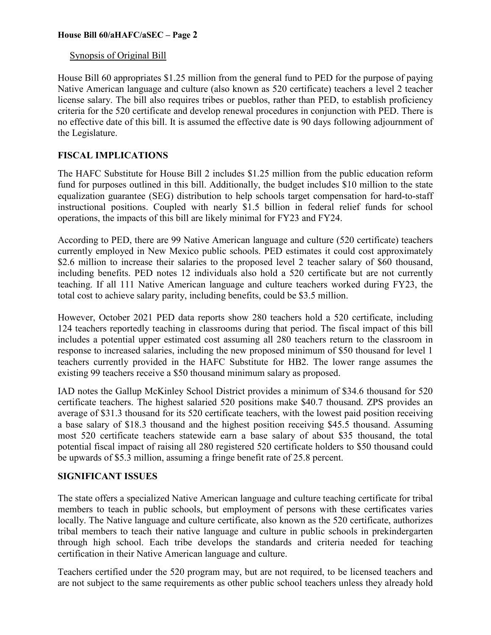# Synopsis of Original Bill

House Bill 60 appropriates \$1.25 million from the general fund to PED for the purpose of paying Native American language and culture (also known as 520 certificate) teachers a level 2 teacher license salary. The bill also requires tribes or pueblos, rather than PED, to establish proficiency criteria for the 520 certificate and develop renewal procedures in conjunction with PED. There is no effective date of this bill. It is assumed the effective date is 90 days following adjournment of the Legislature.

# **FISCAL IMPLICATIONS**

The HAFC Substitute for House Bill 2 includes \$1.25 million from the public education reform fund for purposes outlined in this bill. Additionally, the budget includes \$10 million to the state equalization guarantee (SEG) distribution to help schools target compensation for hard-to-staff instructional positions. Coupled with nearly \$1.5 billion in federal relief funds for school operations, the impacts of this bill are likely minimal for FY23 and FY24.

According to PED, there are 99 Native American language and culture (520 certificate) teachers currently employed in New Mexico public schools. PED estimates it could cost approximately \$2.6 million to increase their salaries to the proposed level 2 teacher salary of \$60 thousand, including benefits. PED notes 12 individuals also hold a 520 certificate but are not currently teaching. If all 111 Native American language and culture teachers worked during FY23, the total cost to achieve salary parity, including benefits, could be \$3.5 million.

However, October 2021 PED data reports show 280 teachers hold a 520 certificate, including 124 teachers reportedly teaching in classrooms during that period. The fiscal impact of this bill includes a potential upper estimated cost assuming all 280 teachers return to the classroom in response to increased salaries, including the new proposed minimum of \$50 thousand for level 1 teachers currently provided in the HAFC Substitute for HB2. The lower range assumes the existing 99 teachers receive a \$50 thousand minimum salary as proposed.

IAD notes the Gallup McKinley School District provides a minimum of \$34.6 thousand for 520 certificate teachers. The highest salaried 520 positions make \$40.7 thousand. ZPS provides an average of \$31.3 thousand for its 520 certificate teachers, with the lowest paid position receiving a base salary of \$18.3 thousand and the highest position receiving \$45.5 thousand. Assuming most 520 certificate teachers statewide earn a base salary of about \$35 thousand, the total potential fiscal impact of raising all 280 registered 520 certificate holders to \$50 thousand could be upwards of \$5.3 million, assuming a fringe benefit rate of 25.8 percent.

### **SIGNIFICANT ISSUES**

The state offers a specialized Native American language and culture teaching certificate for tribal members to teach in public schools, but employment of persons with these certificates varies locally. The Native language and culture certificate, also known as the 520 certificate, authorizes tribal members to teach their native language and culture in public schools in prekindergarten through high school. Each tribe develops the standards and criteria needed for teaching certification in their Native American language and culture.

Teachers certified under the 520 program may, but are not required, to be licensed teachers and are not subject to the same requirements as other public school teachers unless they already hold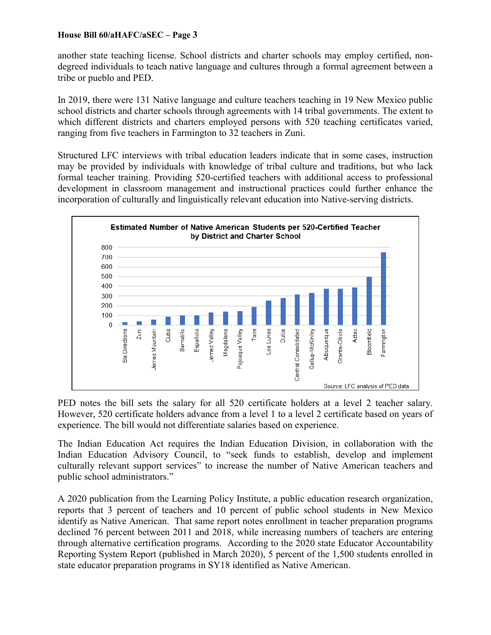another state teaching license. School districts and charter schools may employ certified, nondegreed individuals to teach native language and cultures through a formal agreement between a tribe or pueblo and PED.

In 2019, there were 131 Native language and culture teachers teaching in 19 New Mexico public school districts and charter schools through agreements with 14 tribal governments. The extent to which different districts and charters employed persons with 520 teaching certificates varied, ranging from five teachers in Farmington to 32 teachers in Zuni.

Structured LFC interviews with tribal education leaders indicate that in some cases, instruction may be provided by individuals with knowledge of tribal culture and traditions, but who lack formal teacher training. Providing 520-certified teachers with additional access to professional development in classroom management and instructional practices could further enhance the incorporation of culturally and linguistically relevant education into Native-serving districts.



PED notes the bill sets the salary for all 520 certificate holders at a level 2 teacher salary. However, 520 certificate holders advance from a level 1 to a level 2 certificate based on years of experience. The bill would not differentiate salaries based on experience.

The Indian Education Act requires the Indian Education Division, in collaboration with the Indian Education Advisory Council, to "seek funds to establish, develop and implement culturally relevant support services" to increase the number of Native American teachers and public school administrators."

A 2020 publication from the Learning Policy Institute, a public education research organization, reports that 3 percent of teachers and 10 percent of public school students in New Mexico identify as Native American. That same report notes enrollment in teacher preparation programs declined 76 percent between 2011 and 2018, while increasing numbers of teachers are entering through alternative certification programs. According to the 2020 state Educator Accountability Reporting System Report (published in March 2020), 5 percent of the 1,500 students enrolled in state educator preparation programs in SY18 identified as Native American.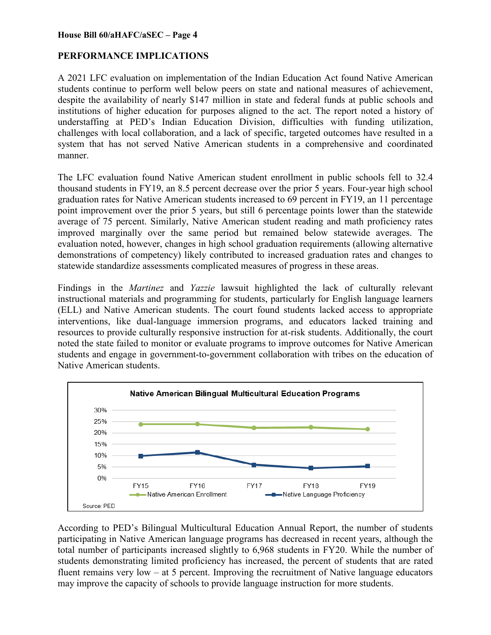# **PERFORMANCE IMPLICATIONS**

A 2021 LFC evaluation on implementation of the Indian Education Act found Native American students continue to perform well below peers on state and national measures of achievement, despite the availability of nearly \$147 million in state and federal funds at public schools and institutions of higher education for purposes aligned to the act. The report noted a history of understaffing at PED's Indian Education Division, difficulties with funding utilization, challenges with local collaboration, and a lack of specific, targeted outcomes have resulted in a system that has not served Native American students in a comprehensive and coordinated manner.

The LFC evaluation found Native American student enrollment in public schools fell to 32.4 thousand students in FY19, an 8.5 percent decrease over the prior 5 years. Four-year high school graduation rates for Native American students increased to 69 percent in FY19, an 11 percentage point improvement over the prior 5 years, but still 6 percentage points lower than the statewide average of 75 percent. Similarly, Native American student reading and math proficiency rates improved marginally over the same period but remained below statewide averages. The evaluation noted, however, changes in high school graduation requirements (allowing alternative demonstrations of competency) likely contributed to increased graduation rates and changes to statewide standardize assessments complicated measures of progress in these areas.

Findings in the *Martinez* and *Yazzie* lawsuit highlighted the lack of culturally relevant instructional materials and programming for students, particularly for English language learners (ELL) and Native American students. The court found students lacked access to appropriate interventions, like dual-language immersion programs, and educators lacked training and resources to provide culturally responsive instruction for at-risk students. Additionally, the court noted the state failed to monitor or evaluate programs to improve outcomes for Native American students and engage in government-to-government collaboration with tribes on the education of Native American students.



According to PED's Bilingual Multicultural Education Annual Report, the number of students participating in Native American language programs has decreased in recent years, although the total number of participants increased slightly to 6,968 students in FY20. While the number of students demonstrating limited proficiency has increased, the percent of students that are rated fluent remains very low – at 5 percent. Improving the recruitment of Native language educators may improve the capacity of schools to provide language instruction for more students.